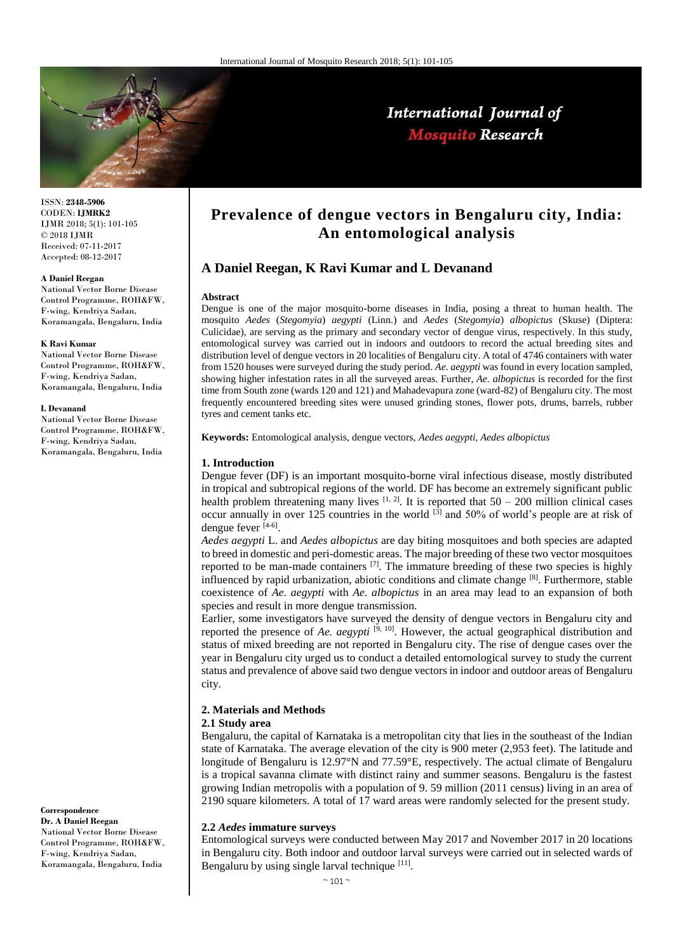

# International Journal of **Mosquito Research**

ISSN: **2348-5906** CODEN: **IJMRK2** IJMR 2018; 5(1): 101-105 © 2018 IJMR Received: 07-11-2017 Accepted: 08-12-2017

#### **A Daniel Reegan**

National Vector Borne Disease Control Programme, ROH&FW, F-wing, Kendriya Sadan, Koramangala, Bengaluru, India

#### **K Ravi Kumar**

National Vector Borne Disease Control Programme, ROH&FW, F-wing, Kendriya Sadan, Koramangala, Bengaluru, India

#### **L Devanand**

National Vector Borne Disease Control Programme, ROH&FW, F-wing, Kendriya Sadan, Koramangala, Bengaluru, India

#### **Correspondence Dr. A Daniel Reegan**

National Vector Borne Disease Control Programme, ROH&FW, F-wing, Kendriya Sadan, Koramangala, Bengaluru, India

# **Prevalence of dengue vectors in Bengaluru city, India: An entomological analysis**

## **A Daniel Reegan, K Ravi Kumar and L Devanand**

#### **Abstract**

Dengue is one of the major mosquito-borne diseases in India, posing a threat to human health. The mosquito *Aedes* (*Stegomyia*) *aegypti* (Linn.) and *Aedes* (*Stegomyia*) *albopictus* (Skuse) (Diptera: Culicidae), are serving as the primary and secondary vector of dengue virus, respectively. In this study, entomological survey was carried out in indoors and outdoors to record the actual breeding sites and distribution level of dengue vectors in 20 localities of Bengaluru city. A total of 4746 containers with water from 1520 houses were surveyed during the study period. *Ae*. *aegypti* was found in every location sampled, showing higher infestation rates in all the surveyed areas. Further, *Ae. albopictus* is recorded for the first time from South zone (wards 120 and 121) and Mahadevapura zone (ward-82) of Bengaluru city. The most frequently encountered breeding sites were unused grinding stones, flower pots, drums, barrels, rubber tyres and cement tanks etc.

**Keywords:** Entomological analysis, dengue vectors, *Aedes aegypti*, *Aedes albopictus*

#### **1. Introduction**

Dengue fever (DF) is an important mosquito-borne viral infectious disease, mostly distributed in tropical and subtropical regions of the world. DF has become an extremely significant public health problem threatening many lives  $[1, 2]$ . It is reported that  $50 - 200$  million clinical cases occur annually in over 125 countries in the world  $^{[3]}$  and 50% of world's people are at risk of dengue fever [4-6].

*Aedes aegypti* L. and *Aedes albopictus* are day biting mosquitoes and both species are adapted to breed in domestic and peri-domestic areas. The major breeding of these two vector mosquitoes reported to be man-made containers  $[7]$ . The immature breeding of these two species is highly influenced by rapid urbanization, abiotic conditions and climate change [8]. Furthermore, stable coexistence of *Ae. aegypti* with *Ae. albopictus* in an area may lead to an expansion of both species and result in more dengue transmission.

Earlier, some investigators have surveyed the density of dengue vectors in Bengaluru city and reported the presence of *Ae. aegypti* <sup>[9, 10]</sup>. However, the actual geographical distribution and status of mixed breeding are not reported in Bengaluru city. The rise of dengue cases over the year in Bengaluru city urged us to conduct a detailed entomological survey to study the current status and prevalence of above said two dengue vectors in indoor and outdoor areas of Bengaluru city.

### **2. Materials and Methods**

#### **2.1 Study area**

Bengaluru, the capital of Karnataka is a metropolitan city that lies in the southeast of the Indian state of Karnataka. The average elevation of the city is 900 meter (2,953 feet). The latitude and longitude of Bengaluru is 12.97°N and 77.59°E, respectively. The actual climate of Bengaluru is a tropical savanna climate with distinct rainy and summer seasons. Bengaluru is the fastest growing Indian metropolis with a population of 9. 59 million (2011 census) living in an area of 2190 square kilometers. A total of 17 ward areas were randomly selected for the present study.

### **2.2** *Aedes* **immature surveys**

Entomological surveys were conducted between May 2017 and November 2017 in 20 locations in Bengaluru city. Both indoor and outdoor larval surveys were carried out in selected wards of Bengaluru by using single larval technique [11].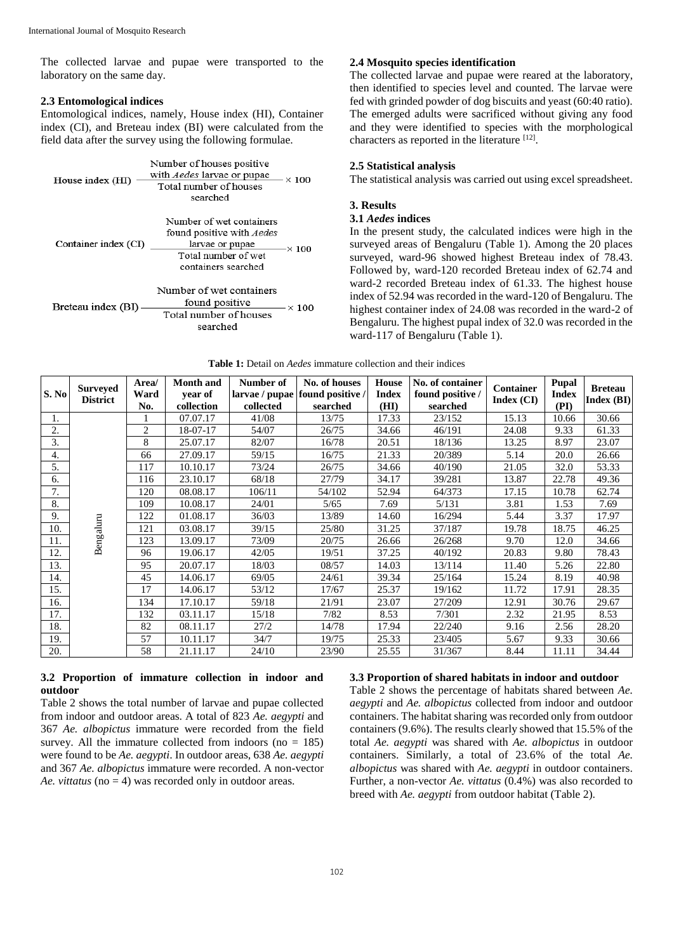The collected larvae and pupae were transported to the laboratory on the same day.

#### **2.3 Entomological indices**

Entomological indices, namely, House index (HI), Container index (CI), and Breteau index (BI) were calculated from the field data after the survey using the following formulae.

| House index (HI)     | Number of houses positive.<br>with <i>Aedes</i> larvae or pupae<br>Total number of houses<br>searched                         | $\times$ 100 |
|----------------------|-------------------------------------------------------------------------------------------------------------------------------|--------------|
| Container index (CI) | Number of wet containers<br>found positive with <i>Aedes</i><br>larvae or pupae<br>Total number of wet<br>containers searched | $\times 100$ |
| Breteau index (BI)   | Number of wet containers<br>found positive<br>Total number of houses<br>searched                                              | $\times$ 100 |

#### **2.4 Mosquito species identification**

The collected larvae and pupae were reared at the laboratory, then identified to species level and counted. The larvae were fed with grinded powder of dog biscuits and yeast (60:40 ratio). The emerged adults were sacrificed without giving any food and they were identified to species with the morphological characters as reported in the literature [12].

#### **2.5 Statistical analysis**

The statistical analysis was carried out using excel spreadsheet.

## **3. Results**

#### **3.1** *Aedes* **indices**

In the present study, the calculated indices were high in the surveyed areas of Bengaluru (Table 1). Among the 20 places surveyed, ward-96 showed highest Breteau index of 78.43. Followed by, ward-120 recorded Breteau index of 62.74 and ward-2 recorded Breteau index of 61.33. The highest house index of 52.94 was recorded in the ward-120 of Bengaluru. The highest container index of 24.08 was recorded in the ward-2 of Bengaluru. The highest pupal index of 32.0 was recorded in the ward-117 of Bengaluru (Table 1).

| <b>Table 1:</b> Detail on <i>Aedes</i> immature collection and their indices |  |
|------------------------------------------------------------------------------|--|
|------------------------------------------------------------------------------|--|

| S. No | <b>Surveyed</b><br><b>District</b> | Area/<br>Ward<br>No. | <b>Month</b> and<br>vear of<br>collection | Number of<br>collected | No. of houses<br>larvae / pupae   found positive /<br>searched | House<br><b>Index</b><br>(HI) | No. of container<br>found positive /<br>searched | <b>Container</b><br>Index (CI) | <b>Pupal</b><br><b>Index</b><br>(PI) | <b>Breteau</b><br>Index(BI) |
|-------|------------------------------------|----------------------|-------------------------------------------|------------------------|----------------------------------------------------------------|-------------------------------|--------------------------------------------------|--------------------------------|--------------------------------------|-----------------------------|
| 1.    |                                    |                      | 07.07.17                                  | 41/08                  | 13/75                                                          | 17.33                         | 23/152                                           | 15.13                          | 10.66                                | 30.66                       |
| 2.    |                                    | $\overline{2}$       | 18-07-17                                  | 54/07                  | 26/75                                                          | 34.66                         | 46/191                                           | 24.08                          | 9.33                                 | 61.33                       |
| 3.    |                                    | 8                    | 25.07.17                                  | 82/07                  | 16/78                                                          | 20.51                         | 18/136                                           | 13.25                          | 8.97                                 | 23.07                       |
| 4.    |                                    | 66                   | 27.09.17                                  | 59/15                  | 16/75                                                          | 21.33                         | 20/389                                           | 5.14                           | 20.0                                 | 26.66                       |
| 5.    |                                    | 117                  | 10.10.17                                  | 73/24                  | 26/75                                                          | 34.66                         | 40/190                                           | 21.05                          | 32.0                                 | 53.33                       |
| 6.    |                                    | 116                  | 23.10.17                                  | 68/18                  | 27/79                                                          | 34.17                         | 39/281                                           | 13.87                          | 22.78                                | 49.36                       |
| 7.    |                                    | 120                  | 08.08.17                                  | 106/11                 | 54/102                                                         | 52.94                         | 64/373                                           | 17.15                          | 10.78                                | 62.74                       |
| 8.    |                                    | 109                  | 10.08.17                                  | 24/01                  | 5/65                                                           | 7.69                          | 5/131                                            | 3.81                           | 1.53                                 | 7.69                        |
| 9.    |                                    | 122                  | 01.08.17                                  | 36/03                  | 13/89                                                          | 14.60                         | 16/294                                           | 5.44                           | 3.37                                 | 17.97                       |
| 10.   |                                    | 121                  | 03.08.17                                  | 39/15                  | 25/80                                                          | 31.25                         | 37/187                                           | 19.78                          | 18.75                                | 46.25                       |
| 11.   | Bengaluru                          | 123                  | 13.09.17                                  | 73/09                  | 20/75                                                          | 26.66                         | 26/268                                           | 9.70                           | 12.0                                 | 34.66                       |
| 12.   |                                    | 96                   | 19.06.17                                  | 42/05                  | 19/51                                                          | 37.25                         | 40/192                                           | 20.83                          | 9.80                                 | 78.43                       |
| 13.   |                                    | 95                   | 20.07.17                                  | 18/03                  | 08/57                                                          | 14.03                         | 13/114                                           | 11.40                          | 5.26                                 | 22.80                       |
| 14.   |                                    | 45                   | 14.06.17                                  | 69/05                  | 24/61                                                          | 39.34                         | 25/164                                           | 15.24                          | 8.19                                 | 40.98                       |
| 15.   |                                    | 17                   | 14.06.17                                  | 53/12                  | 17/67                                                          | 25.37                         | 19/162                                           | 11.72                          | 17.91                                | 28.35                       |
| 16.   |                                    | 134                  | 17.10.17                                  | 59/18                  | 21/91                                                          | 23.07                         | 27/209                                           | 12.91                          | 30.76                                | 29.67                       |
| 17.   |                                    | 132                  | 03.11.17                                  | 15/18                  | 7/82                                                           | 8.53                          | 7/301                                            | 2.32                           | 21.95                                | 8.53                        |
| 18.   |                                    | 82                   | 08.11.17                                  | 27/2                   | 14/78                                                          | 17.94                         | 22/240                                           | 9.16                           | 2.56                                 | 28.20                       |
| 19.   |                                    | 57                   | 10.11.17                                  | 34/7                   | 19/75                                                          | 25.33                         | 23/405                                           | 5.67                           | 9.33                                 | 30.66                       |
| 20.   |                                    | 58                   | 21.11.17                                  | 24/10                  | 23/90                                                          | 25.55                         | 31/367                                           | 8.44                           | 11.11                                | 34.44                       |

## **3.2 Proportion of immature collection in indoor and outdoor**

Table 2 shows the total number of larvae and pupae collected from indoor and outdoor areas. A total of 823 *Ae. aegypti* and 367 *Ae. albopictus* immature were recorded from the field survey. All the immature collected from indoors ( $no = 185$ ) were found to be *Ae. aegypti*. In outdoor areas, 638 *Ae. aegypti* and 367 *Ae. albopictus* immature were recorded. A non-vector *Ae. vittatus* (no = 4) was recorded only in outdoor areas.

#### **3.3 Proportion of shared habitats in indoor and outdoor**

Table 2 shows the percentage of habitats shared between *Ae. aegypti* and *Ae. albopictus* collected from indoor and outdoor containers. The habitat sharing was recorded only from outdoor containers (9.6%). The results clearly showed that 15.5% of the total *Ae. aegypti* was shared with *Ae. albopictus* in outdoor containers. Similarly, a total of 23.6% of the total *Ae. albopictus* was shared with *Ae. aegypti* in outdoor containers. Further, a non-vector *Ae. vittatus* (0.4%) was also recorded to breed with *Ae. aegypti* from outdoor habitat (Table 2).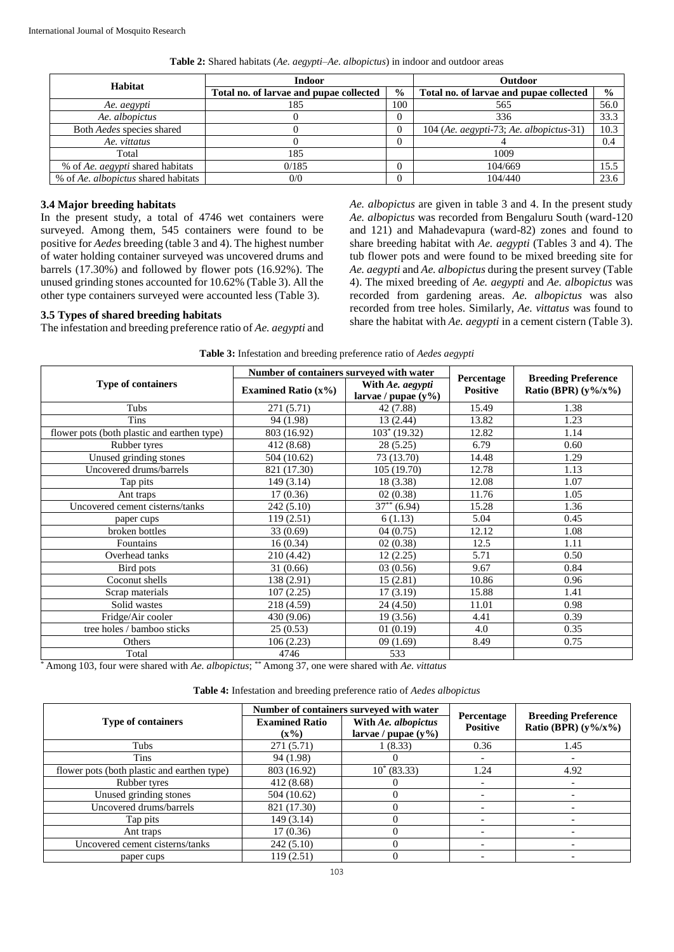|                                     | <b>Indoor</b>                           | <b>Outdoor</b> |                                         |               |  |
|-------------------------------------|-----------------------------------------|----------------|-----------------------------------------|---------------|--|
| Habitat                             | Total no. of larvae and pupae collected | $\frac{6}{9}$  | Total no. of larvae and pupae collected | $\frac{0}{0}$ |  |
| Ae. aegypti                         | 185                                     | 100            | 565                                     | 56.0          |  |
| Ae. albopictus                      |                                         |                | 336                                     | 33.3          |  |
| Both Aedes species shared           |                                         |                | 104 (Ae. aegypti-73; Ae. albopictus-31) | 10.3          |  |
| Ae. vittatus                        |                                         |                |                                         | 0.4           |  |
| Total                               | 185                                     |                | 1009                                    |               |  |
| % of Ae. aegypti shared habitats    | 0/185                                   |                | 104/669                                 | 15.5          |  |
| % of Ae. albopictus shared habitats | 0/0                                     |                | 104/440                                 | 23.6          |  |

**Table 2:** Shared habitats (*Ae. aegypti*–*Ae. albopictus*) in indoor and outdoor areas

### **3.4 Major breeding habitats**

In the present study, a total of 4746 wet containers were surveyed. Among them, 545 containers were found to be positive for *Aedes* breeding (table 3 and 4). The highest number of water holding container surveyed was uncovered drums and barrels (17.30%) and followed by flower pots (16.92%). The unused grinding stones accounted for 10.62% (Table 3). All the other type containers surveyed were accounted less (Table 3).

## **3.5 Types of shared breeding habitats**

The infestation and breeding preference ratio of *Ae. aegypti* and

*Ae. albopictus* are given in table 3 and 4. In the present study *Ae. albopictus* was recorded from Bengaluru South (ward-120 and 121) and Mahadevapura (ward-82) zones and found to share breeding habitat with *Ae. aegypti* (Tables 3 and 4). The tub flower pots and were found to be mixed breeding site for *Ae. aegypti* and *Ae. albopictus* during the present survey (Table 4). The mixed breeding of *Ae. aegypti* and *Ae. albopictus* was recorded from gardening areas. *Ae. albopictus* was also recorded from tree holes. Similarly, *Ae. vittatus* was found to share the habitat with *Ae. aegypti* in a cement cistern (Table 3).

| <b>Table 3:</b> Infestation and breeding preference ratio of <i>Aedes aegypti</i> |  |
|-----------------------------------------------------------------------------------|--|
|-----------------------------------------------------------------------------------|--|

|                                             | Number of containers surveyed with water |                                            |                               |                                                         |
|---------------------------------------------|------------------------------------------|--------------------------------------------|-------------------------------|---------------------------------------------------------|
| <b>Type of containers</b>                   | Examined Ratio $(x\%)$                   | With Ae. aegypti<br>larvae / pupae $(y\%)$ | Percentage<br><b>Positive</b> | <b>Breeding Preference</b><br>Ratio (BPR) $(y\% / x\%)$ |
| Tubs                                        | 271 (5.71)                               | 42 (7.88)                                  | 15.49                         | 1.38                                                    |
| <b>Tins</b>                                 | 94 (1.98)                                | 13 (2.44)                                  | 13.82                         | 1.23                                                    |
| flower pots (both plastic and earthen type) | 803 (16.92)                              | $103^* (19.32)$                            | 12.82                         | 1.14                                                    |
| Rubber tyres                                | 412 (8.68)                               | 28 (5.25)                                  | 6.79                          | 0.60                                                    |
| Unused grinding stones                      | 504 (10.62)                              | 73 (13.70)                                 | 14.48                         | 1.29                                                    |
| Uncovered drums/barrels                     | 821 (17.30)                              | 105 (19.70)                                | 12.78                         | 1.13                                                    |
| Tap pits                                    | 149 (3.14)                               | 18 (3.38)                                  | 12.08                         | 1.07                                                    |
| Ant traps                                   | 17(0.36)                                 | 02(0.38)                                   | 11.76                         | 1.05                                                    |
| Uncovered cement cisterns/tanks             | 242 (5.10)                               | $\overline{37}^{**}$ (6.94)                | 15.28                         | 1.36                                                    |
| paper cups                                  | 119(2.51)                                | 6(1.13)                                    | 5.04                          | 0.45                                                    |
| broken bottles                              | 33(0.69)                                 | 04(0.75)                                   | 12.12                         | 1.08                                                    |
| Fountains                                   | 16(0.34)                                 | 02(0.38)                                   | 12.5                          | 1.11                                                    |
| Overhead tanks                              | 210 (4.42)                               | 12(2.25)                                   | 5.71                          | 0.50                                                    |
| Bird pots                                   | 31(0.66)                                 | 03(0.56)                                   | 9.67                          | 0.84                                                    |
| Coconut shells                              | 138 (2.91)                               | 15(2.81)                                   | 10.86                         | 0.96                                                    |
| Scrap materials                             | 107(2.25)                                | 17(3.19)                                   | 15.88                         | 1.41                                                    |
| Solid wastes                                | 218 (4.59)                               | 24 (4.50)                                  | 11.01                         | 0.98                                                    |
| Fridge/Air cooler                           | 430 (9.06)                               | 19 (3.56)                                  | 4.41                          | 0.39                                                    |
| tree holes / bamboo sticks                  | 25(0.53)                                 | 01(0.19)                                   | 4.0                           | 0.35                                                    |
| Others                                      | 106(2.23)                                | 09(1.69)                                   | 8.49                          | 0.75                                                    |
| Total                                       | 4746                                     | 533                                        |                               |                                                         |

\* Among 103, four were shared with *Ae. albopictus*; \*\* Among 37, one were shared with *Ae. vittatus*

| Table 4: Infestation and breeding preference ratio of Aedes albopictus |  |  |  |
|------------------------------------------------------------------------|--|--|--|
|------------------------------------------------------------------------|--|--|--|

|                                             |                                                   | Number of containers surveyed with water      |                               | <b>Breeding Preference</b> |  |
|---------------------------------------------|---------------------------------------------------|-----------------------------------------------|-------------------------------|----------------------------|--|
| <b>Type of containers</b>                   | <b>Examined Ratio</b><br>$({\bf x}^{\bullet}/_0)$ | With Ae. albopictus<br>larvae / pupae $(y\%)$ | Percentage<br><b>Positive</b> | Ratio (BPR) $(y\% / x\%)$  |  |
| Tubs                                        | 271 (5.71)                                        | 1(8.33)                                       | 0.36                          | 1.45                       |  |
| Tins                                        | 94 (1.98)                                         |                                               |                               |                            |  |
| flower pots (both plastic and earthen type) | 803 (16.92)                                       | $10^* (83.33)$                                | 1.24                          | 4.92                       |  |
| Rubber tyres                                | 412 (8.68)                                        |                                               |                               |                            |  |
| Unused grinding stones                      | 504 (10.62)                                       |                                               |                               |                            |  |
| Uncovered drums/barrels                     | 821 (17.30)                                       |                                               |                               |                            |  |
| Tap pits                                    | 149 (3.14)                                        |                                               |                               |                            |  |
| Ant traps                                   | 17 (0.36)                                         |                                               |                               |                            |  |
| Uncovered cement cisterns/tanks             | 242(5.10)                                         |                                               |                               |                            |  |
| paper cups                                  | 119 (2.51)                                        |                                               |                               |                            |  |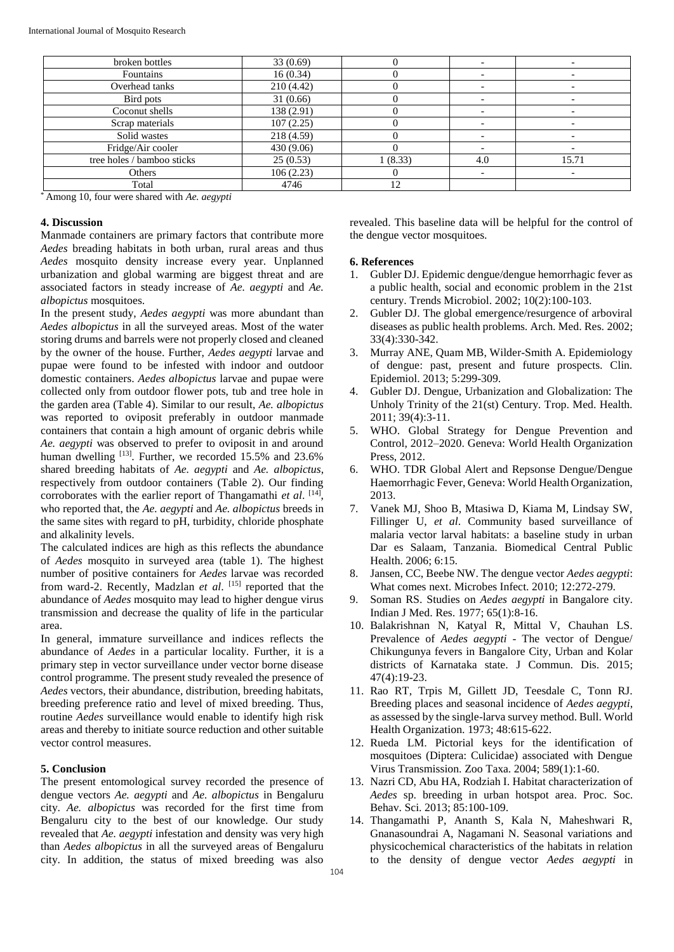| broken bottles             | 33(0.69)   |         |     |                          |
|----------------------------|------------|---------|-----|--------------------------|
| Fountains                  | 16(0.34)   |         |     |                          |
| Overhead tanks             | 210(4.42)  |         |     |                          |
| Bird pots                  | 31(0.66)   |         |     |                          |
| Coconut shells             | 138 (2.91) |         |     |                          |
| Scrap materials            | 107(2.25)  |         |     |                          |
| Solid wastes               | 218 (4.59) |         |     | $\overline{\phantom{0}}$ |
| Fridge/Air cooler          | 430 (9.06) |         |     |                          |
| tree holes / bamboo sticks | 25(0.53)   | 1(8.33) | 4.0 | 15.71                    |
| Others                     | 106(2.23)  |         |     | $\overline{\phantom{a}}$ |
| Total                      | 4746       |         |     |                          |
|                            |            |         |     |                          |

\* Among 10, four were shared with *Ae. aegypti*

### **4. Discussion**

Manmade containers are primary factors that contribute more *Aedes* breading habitats in both urban, rural areas and thus *Aedes* mosquito density increase every year. Unplanned urbanization and global warming are biggest threat and are associated factors in steady increase of *Ae. aegypti* and *Ae. albopictus* mosquitoes.

In the present study, *Aedes aegypti* was more abundant than *Aedes albopictus* in all the surveyed areas. Most of the water storing drums and barrels were not properly closed and cleaned by the owner of the house. Further, *Aedes aegypti* larvae and pupae were found to be infested with indoor and outdoor domestic containers. *Aedes albopictus* larvae and pupae were collected only from outdoor flower pots, tub and tree hole in the garden area (Table 4). Similar to our result, *Ae. albopictus*  was reported to oviposit preferably in outdoor manmade containers that contain a high amount of organic debris while *Ae. aegypti* was observed to prefer to oviposit in and around human dwelling <sup>[13]</sup>. Further, we recorded 15.5% and 23.6% shared breeding habitats of *Ae. aegypti* and *Ae. albopictus*, respectively from outdoor containers (Table 2). Our finding corroborates with the earlier report of Thangamathi et al. [14], who reported that, the *Ae. aegypti* and *Ae. albopictus* breeds in the same sites with regard to pH, turbidity, chloride phosphate and alkalinity levels.

The calculated indices are high as this reflects the abundance of *Aedes* mosquito in surveyed area (table 1). The highest number of positive containers for *Aedes* larvae was recorded from ward-2. Recently, Madzlan *et al*. [15] reported that the abundance of *Aedes* mosquito may lead to higher dengue virus transmission and decrease the quality of life in the particular area.

In general, immature surveillance and indices reflects the abundance of *Aedes* in a particular locality. Further, it is a primary step in vector surveillance under vector borne disease control programme. The present study revealed the presence of *Aedes* vectors, their abundance, distribution, breeding habitats, breeding preference ratio and level of mixed breeding. Thus, routine *Aedes* surveillance would enable to identify high risk areas and thereby to initiate source reduction and other suitable vector control measures.

## **5. Conclusion**

The present entomological survey recorded the presence of dengue vectors *Ae. aegypti* and *Ae. albopictus* in Bengaluru city. *Ae. albopictus* was recorded for the first time from Bengaluru city to the best of our knowledge. Our study revealed that *Ae. aegypti* infestation and density was very high than *Aedes albopictus* in all the surveyed areas of Bengaluru city. In addition, the status of mixed breeding was also

revealed. This baseline data will be helpful for the control of the dengue vector mosquitoes.

## **6. References**

- 1. Gubler DJ. Epidemic dengue/dengue hemorrhagic fever as a public health, social and economic problem in the 21st century. Trends Microbiol. 2002; 10(2):100-103.
- 2. Gubler DJ. The global emergence/resurgence of arboviral diseases as public health problems. Arch. Med. Res. 2002; 33(4):330-342.
- 3. Murray ANE, Quam MB, Wilder-Smith A. Epidemiology of dengue: past, present and future prospects. Clin. Epidemiol. 2013; 5:299-309.
- 4. Gubler DJ. Dengue, Urbanization and Globalization: The Unholy Trinity of the 21(st) Century. Trop. Med. Health. 2011; 39(4):3-11.
- 5. WHO. Global Strategy for Dengue Prevention and Control, 2012–2020. Geneva: World Health Organization Press, 2012.
- 6. WHO. TDR Global Alert and Repsonse Dengue/Dengue Haemorrhagic Fever, Geneva: World Health Organization, 2013.
- 7. Vanek MJ, Shoo B, Mtasiwa D, Kiama M, Lindsay SW, Fillinger U, *et al*. Community based surveillance of malaria vector larval habitats: a baseline study in urban Dar es Salaam, Tanzania. Biomedical Central Public Health. 2006; 6:15.
- 8. Jansen, CC, Beebe NW. The dengue vector *Aedes aegypti*: What comes next. Microbes Infect. 2010; 12:272-279.
- 9. Soman RS. Studies on *Aedes aegypti* in Bangalore city. Indian J Med. Res. 1977; 65(1):8-16.
- 10. Balakrishnan N, Katyal R, Mittal V, Chauhan LS. Prevalence of *Aedes aegypti* - The vector of Dengue/ Chikungunya fevers in Bangalore City, Urban and Kolar districts of Karnataka state. J Commun. Dis. 2015; 47(4):19-23.
- 11. Rao RT, Trpis M, Gillett JD, Teesdale C, Tonn RJ. Breeding places and seasonal incidence of *Aedes aegypti*, as assessed by the single-larva survey method. Bull. World Health Organization. 1973; 48:615-622.
- 12. Rueda LM. Pictorial keys for the identification of mosquitoes (Diptera: Culicidae) associated with Dengue Virus Transmission. Zoo Taxa. 2004; 589(1):1-60.
- 13. Nazri CD, Abu HA, Rodziah I. Habitat characterization of *Aedes* sp. breeding in urban hotspot area. Proc. Soc. Behav. Sci. 2013; 85:100-109.
- 14. Thangamathi P, Ananth S, Kala N, Maheshwari R, Gnanasoundrai A, Nagamani N. Seasonal variations and physicochemical characteristics of the habitats in relation to the density of dengue vector *Aedes aegypti* in

104